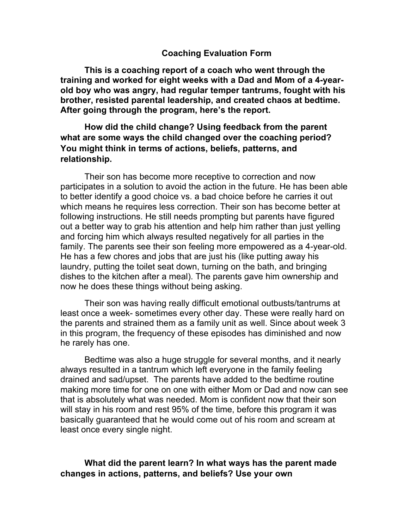#### **Coaching Evaluation Form**

**This is a coaching report of a coach who went through the training and worked for eight weeks with a Dad and Mom of a 4-yearold boy who was angry, had regular temper tantrums, fought with his brother, resisted parental leadership, and created chaos at bedtime. After going through the program, here's the report.**

# **How did the child change? Using feedback from the parent what are some ways the child changed over the coaching period? You might think in terms of actions, beliefs, patterns, and relationship.**

Their son has become more receptive to correction and now participates in a solution to avoid the action in the future. He has been able to better identify a good choice vs. a bad choice before he carries it out which means he requires less correction. Their son has become better at following instructions. He still needs prompting but parents have figured out a better way to grab his attention and help him rather than just yelling and forcing him which always resulted negatively for all parties in the family. The parents see their son feeling more empowered as a 4-year-old. He has a few chores and jobs that are just his (like putting away his laundry, putting the toilet seat down, turning on the bath, and bringing dishes to the kitchen after a meal). The parents gave him ownership and now he does these things without being asking.

Their son was having really difficult emotional outbusts/tantrums at least once a week- sometimes every other day. These were really hard on the parents and strained them as a family unit as well. Since about week 3 in this program, the frequency of these episodes has diminished and now he rarely has one.

Bedtime was also a huge struggle for several months, and it nearly always resulted in a tantrum which left everyone in the family feeling drained and sad/upset. The parents have added to the bedtime routine making more time for one on one with either Mom or Dad and now can see that is absolutely what was needed. Mom is confident now that their son will stay in his room and rest 95% of the time, before this program it was basically guaranteed that he would come out of his room and scream at least once every single night.

## **What did the parent learn? In what ways has the parent made changes in actions, patterns, and beliefs? Use your own**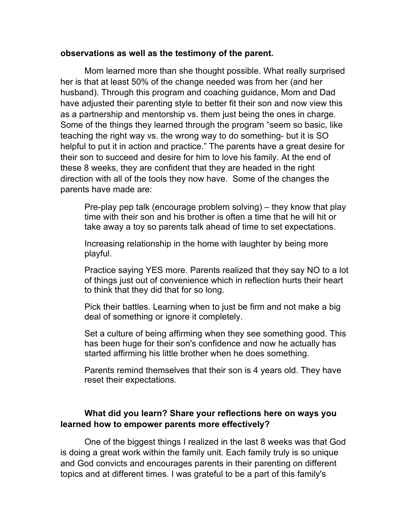### **observations as well as the testimony of the parent.**

Mom learned more than she thought possible. What really surprised her is that at least 50% of the change needed was from her (and her husband). Through this program and coaching guidance, Mom and Dad have adjusted their parenting style to better fit their son and now view this as a partnership and mentorship vs. them just being the ones in charge. Some of the things they learned through the program "seem so basic, like teaching the right way vs. the wrong way to do something- but it is SO helpful to put it in action and practice." The parents have a great desire for their son to succeed and desire for him to love his family. At the end of these 8 weeks, they are confident that they are headed in the right direction with all of the tools they now have. Some of the changes the parents have made are:

Pre-play pep talk (encourage problem solving) – they know that play time with their son and his brother is often a time that he will hit or take away a toy so parents talk ahead of time to set expectations.

Increasing relationship in the home with laughter by being more playful.

Practice saying YES more. Parents realized that they say NO to a lot of things just out of convenience which in reflection hurts their heart to think that they did that for so long.

Pick their battles. Learning when to just be firm and not make a big deal of something or ignore it completely.

Set a culture of being affirming when they see something good. This has been huge for their son's confidence and now he actually has started affirming his little brother when he does something.

Parents remind themselves that their son is 4 years old. They have reset their expectations.

# **What did you learn? Share your reflections here on ways you learned how to empower parents more effectively?**

One of the biggest things I realized in the last 8 weeks was that God is doing a great work within the family unit. Each family truly is so unique and God convicts and encourages parents in their parenting on different topics and at different times. I was grateful to be a part of this family's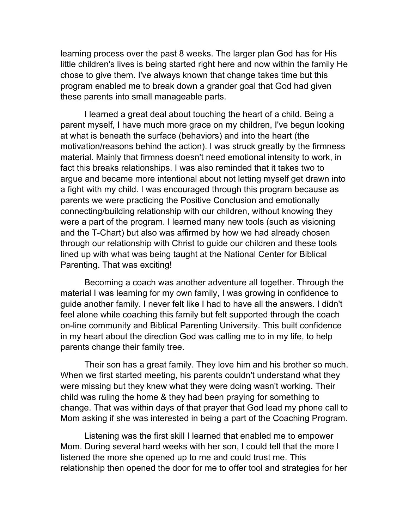learning process over the past 8 weeks. The larger plan God has for His little children's lives is being started right here and now within the family He chose to give them. I've always known that change takes time but this program enabled me to break down a grander goal that God had given these parents into small manageable parts.

I learned a great deal about touching the heart of a child. Being a parent myself, I have much more grace on my children, I've begun looking at what is beneath the surface (behaviors) and into the heart (the motivation/reasons behind the action). I was struck greatly by the firmness material. Mainly that firmness doesn't need emotional intensity to work, in fact this breaks relationships. I was also reminded that it takes two to argue and became more intentional about not letting myself get drawn into a fight with my child. I was encouraged through this program because as parents we were practicing the Positive Conclusion and emotionally connecting/building relationship with our children, without knowing they were a part of the program. I learned many new tools (such as visioning and the T-Chart) but also was affirmed by how we had already chosen through our relationship with Christ to guide our children and these tools lined up with what was being taught at the National Center for Biblical Parenting. That was exciting!

Becoming a coach was another adventure all together. Through the material I was learning for my own family, I was growing in confidence to guide another family. I never felt like I had to have all the answers. I didn't feel alone while coaching this family but felt supported through the coach on-line community and Biblical Parenting University. This built confidence in my heart about the direction God was calling me to in my life, to help parents change their family tree.

Their son has a great family. They love him and his brother so much. When we first started meeting, his parents couldn't understand what they were missing but they knew what they were doing wasn't working. Their child was ruling the home & they had been praying for something to change. That was within days of that prayer that God lead my phone call to Mom asking if she was interested in being a part of the Coaching Program.

Listening was the first skill I learned that enabled me to empower Mom. During several hard weeks with her son, I could tell that the more I listened the more she opened up to me and could trust me. This relationship then opened the door for me to offer tool and strategies for her